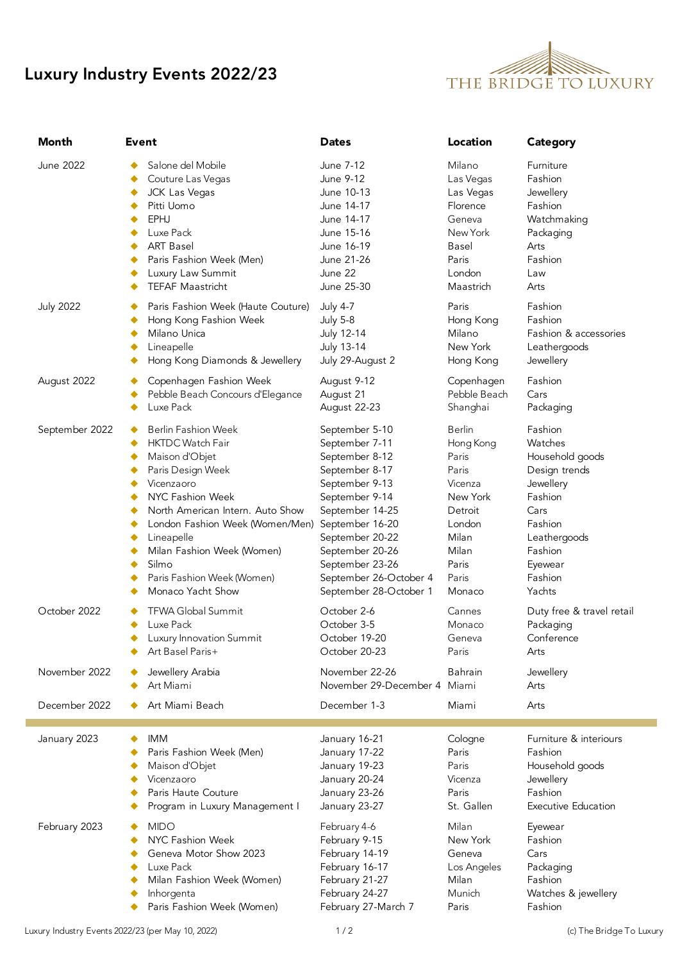## Luxury Industry Events 2022/23



| <b>Month</b>     | Event                                                                                                                                                                                                                                                                                                         | <b>Dates</b>                                                                                                                                                                                                                                                | Location                                                                                                                               | Category                                                                                                                                                     |
|------------------|---------------------------------------------------------------------------------------------------------------------------------------------------------------------------------------------------------------------------------------------------------------------------------------------------------------|-------------------------------------------------------------------------------------------------------------------------------------------------------------------------------------------------------------------------------------------------------------|----------------------------------------------------------------------------------------------------------------------------------------|--------------------------------------------------------------------------------------------------------------------------------------------------------------|
| June 2022        | Salone del Mobile<br>Couture Las Vegas<br><b>JCK Las Vegas</b><br>٠<br>Pitti Uomo<br>٠<br>EPHJ<br>٠<br>Luxe Pack<br>٠<br><b>ART Basel</b><br>٠<br>Paris Fashion Week (Men)<br>٠<br>Luxury Law Summit<br>TEFAF Maastricht<br>٠                                                                                 | June 7-12<br>June 9-12<br>June 10-13<br>June 14-17<br>June 14-17<br>June 15-16<br>June 16-19<br>June 21-26<br>June 22<br>June 25-30                                                                                                                         | Milano<br>Las Vegas<br>Las Vegas<br>Florence<br>Geneva<br>New York<br>Basel<br>Paris<br>London<br>Maastrich                            | Furniture<br>Fashion<br>Jewellery<br>Fashion<br>Watchmaking<br>Packaging<br>Arts<br>Fashion<br>Law<br>Arts                                                   |
| <b>July 2022</b> | Paris Fashion Week (Haute Couture)<br>Hong Kong Fashion Week<br>Milano Unica<br>Lineapelle<br>Hong Kong Diamonds & Jewellery                                                                                                                                                                                  | <b>July 4-7</b><br><b>July 5-8</b><br>July 12-14<br>July 13-14<br>July 29-August 2                                                                                                                                                                          | Paris<br>Hong Kong<br>Milano<br>New York<br>Hong Kong                                                                                  | Fashion<br>Fashion<br>Fashion & accessories<br>Leathergoods<br>Jewellery                                                                                     |
| August 2022      | Copenhagen Fashion Week<br>Pebble Beach Concours d'Elegance<br>Luxe Pack                                                                                                                                                                                                                                      | August 9-12<br>August 21<br>August 22-23                                                                                                                                                                                                                    | Copenhagen<br>Pebble Beach<br>Shanghai                                                                                                 | Fashion<br>Cars<br>Packaging                                                                                                                                 |
| September 2022   | <b>Berlin Fashion Week</b><br><b>HKTDC Watch Fair</b><br>Maison d'Objet<br>Paris Design Week<br>Vicenzaoro<br>NYC Fashion Week<br>North American Intern. Auto Show<br>London Fashion Week (Women/Men)<br>Lineapelle<br>Milan Fashion Week (Women)<br>Silmo<br>Paris Fashion Week (Women)<br>Monaco Yacht Show | September 5-10<br>September 7-11<br>September 8-12<br>September 8-17<br>September 9-13<br>September 9-14<br>September 14-25<br>September 16-20<br>September 20-22<br>September 20-26<br>September 23-26<br>September 26-October 4<br>September 28-October 1 | <b>Berlin</b><br>Hong Kong<br>Paris<br>Paris<br>Vicenza<br>New York<br>Detroit<br>London<br>Milan<br>Milan<br>Paris<br>Paris<br>Monaco | Fashion<br>Watches<br>Household goods<br>Design trends<br>Jewellery<br>Fashion<br>Cars<br>Fashion<br>Leathergoods<br>Fashion<br>Eyewear<br>Fashion<br>Yachts |
| October 2022     | <b>TFWA Global Summit</b><br>Luxe Pack<br>Luxury Innovation Summit<br>٠<br>Art Basel Paris+                                                                                                                                                                                                                   | October 2-6<br>October 3-5<br>October 19-20<br>October 20-23                                                                                                                                                                                                | Cannes<br>Monaco<br>Geneva<br>Paris                                                                                                    | Duty free & travel retail<br>Packaging<br>Conference<br>Arts                                                                                                 |
| November 2022    | Jewellery Arabia<br>Art Miami                                                                                                                                                                                                                                                                                 | November 22-26<br>November 29-December 4 Miami                                                                                                                                                                                                              | Bahrain                                                                                                                                | Jewellery<br>Arts                                                                                                                                            |
| December 2022    | Art Miami Beach                                                                                                                                                                                                                                                                                               | December 1-3                                                                                                                                                                                                                                                | Miami                                                                                                                                  | Arts                                                                                                                                                         |
| January 2023     | <b>IMM</b><br>٠<br>Paris Fashion Week (Men)<br>Maison d'Objet<br>Vicenzaoro<br>Paris Haute Couture<br>Program in Luxury Management I                                                                                                                                                                          | January 16-21<br>January 17-22<br>January 19-23<br>January 20-24<br>January 23-26<br>January 23-27                                                                                                                                                          | Cologne<br>Paris<br>Paris<br>Vicenza<br>Paris<br>St. Gallen                                                                            | Furniture & interiours<br>Fashion<br>Household goods<br>Jewellery<br>Fashion<br><b>Executive Education</b>                                                   |
| February 2023    | <b>MIDO</b><br>NYC Fashion Week<br>Geneva Motor Show 2023<br>Luxe Pack<br>Milan Fashion Week (Women)<br>Inhorgenta<br>Paris Fashion Week (Women)                                                                                                                                                              | February 4-6<br>February 9-15<br>February 14-19<br>February 16-17<br>February 21-27<br>February 24-27<br>February 27-March 7                                                                                                                                | Milan<br>New York<br>Geneva<br>Los Angeles<br>Milan<br>Munich<br>Paris                                                                 | Eyewear<br>Fashion<br>Cars<br>Packaging<br>Fashion<br>Watches & jewellery<br>Fashion                                                                         |